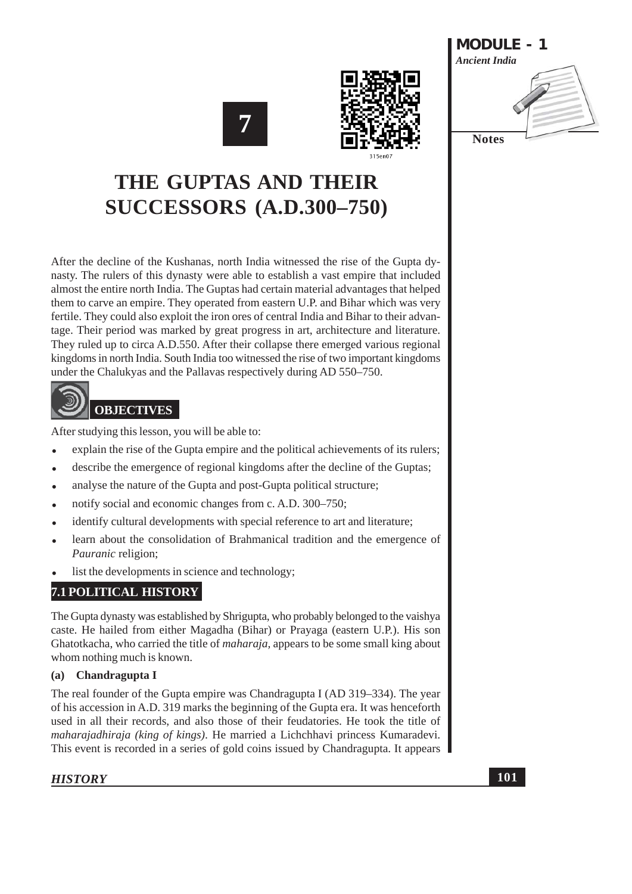





## THE GUPTAS AND THEIR **SUCCESSORS (A.D.300-750)**

After the decline of the Kushanas, north India witnessed the rise of the Gupta dynasty. The rulers of this dynasty were able to establish a vast empire that included almost the entire north India. The Guptas had certain material advantages that helped them to carve an empire. They operated from eastern U.P. and Bihar which was very fertile. They could also exploit the iron ores of central India and Bihar to their advantage. Their period was marked by great progress in art, architecture and literature. They ruled up to circa A.D.550. After their collapse there emerged various regional kingdoms in north India. South India too witnessed the rise of two important kingdoms under the Chalukyas and the Pallayas respectively during AD 550–750.

## **OBJECTIVES**

After studying this lesson, you will be able to:

- explain the rise of the Gupta empire and the political achievements of its rulers;
- describe the emergence of regional kingdoms after the decline of the Guptas;
- analyse the nature of the Gupta and post-Gupta political structure;
- notify social and economic changes from c. A.D. 300–750;
- identify cultural developments with special reference to art and literature;
- learn about the consolidation of Brahmanical tradition and the emergence of *Pauranic* religion;
- list the developments in science and technology;

### **7.1 POLITICAL HISTORY**

The Gupta dynasty was established by Shrigupta, who probably belonged to the vaishya caste. He hailed from either Magadha (Bihar) or Prayaga (eastern U.P.). His son Ghatotkacha, who carried the title of *maharaja*, appears to be some small king about whom nothing much is known.

#### Chandragupta I  $(a)$

The real founder of the Gupta empire was Chandragupta I (AD 319–334). The year of his accession in A.D. 319 marks the beginning of the Gupta era. It was henceforth used in all their records, and also those of their feudatories. He took the title of maharajadhiraja (king of kings). He married a Lichchhavi princess Kumaradevi. This event is recorded in a series of gold coins issued by Chandragupta. It appears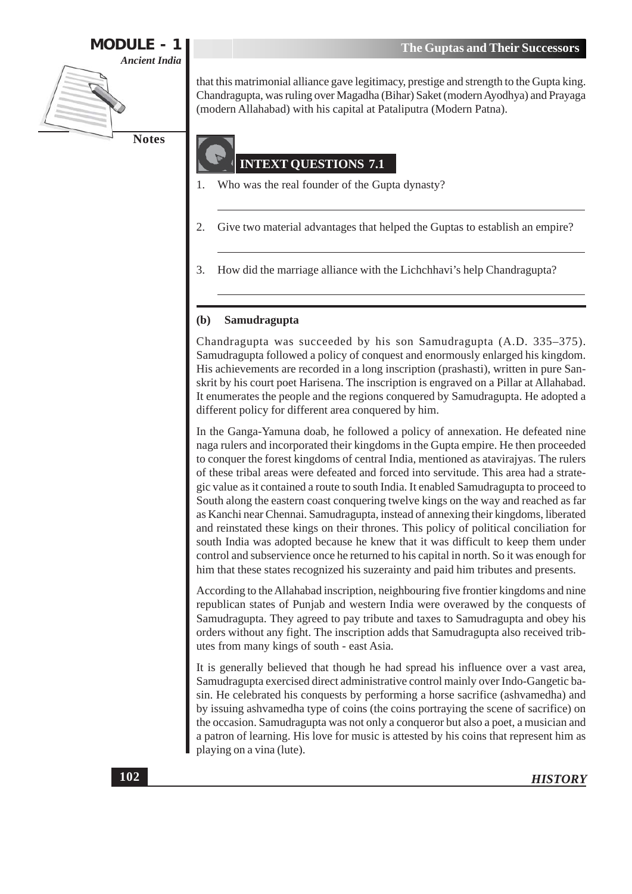

that this matrimonial alliance gave legitimacy, prestige and strength to the Gupta king. Chandragupta, was ruling over Magadha (Bihar) Saket (modern Ayodhya) and Prayaga (modern Allahabad) with his capital at Pataliputra (Modern Patna).

## **INTEXT OUESTIONS 7.1**

- Who was the real founder of the Gupta dynasty?  $\mathbf{1}$
- $\overline{2}$ . Give two material advantages that helped the Guptas to establish an empire?
- 3. How did the marriage alliance with the Lichchhavi's help Chandragupta?

#### $(b)$ Samudragupta

Chandragupta was succeeded by his son Samudragupta (A.D. 335-375). Samudragupta followed a policy of conquest and enormously enlarged his kingdom. His achievements are recorded in a long inscription (prashasti), written in pure Sanskrit by his court poet Harisena. The inscription is engraved on a Pillar at Allahabad. It enumerates the people and the regions conquered by Samudragupta. He adopted a different policy for different area conquered by him.

In the Ganga-Yamuna doab, he followed a policy of annexation. He defeated nine naga rulers and incorporated their kingdoms in the Gupta empire. He then proceeded to conquer the forest kingdoms of central India, mentioned as atavirajyas. The rulers of these tribal areas were defeated and forced into servitude. This area had a strategic value as it contained a route to south India. It enabled Samudragupta to proceed to South along the eastern coast conquering twelve kings on the way and reached as far as Kanchi near Chennai. Samudragupta, instead of annexing their kingdoms, liberated and reinstated these kings on their thrones. This policy of political conciliation for south India was adopted because he knew that it was difficult to keep them under control and subservience once he returned to his capital in north. So it was enough for him that these states recognized his suzerainty and paid him tributes and presents.

According to the Allahabad inscription, neighbouring five frontier kingdoms and nine republican states of Punjab and western India were overawed by the conquests of Samudragupta. They agreed to pay tribute and taxes to Samudragupta and obey his orders without any fight. The inscription adds that Samudragupta also received tributes from many kings of south - east Asia.

It is generally believed that though he had spread his influence over a vast area, Samudragupta exercised direct administrative control mainly over Indo-Gangetic basin. He celebrated his conquests by performing a horse sacrifice (ashvamedha) and by issuing ashvamedha type of coins (the coins portraying the scene of sacrifice) on the occasion. Samudragupta was not only a conqueror but also a poet, a musician and a patron of learning. His love for music is attested by his coins that represent him as playing on a vina (lute).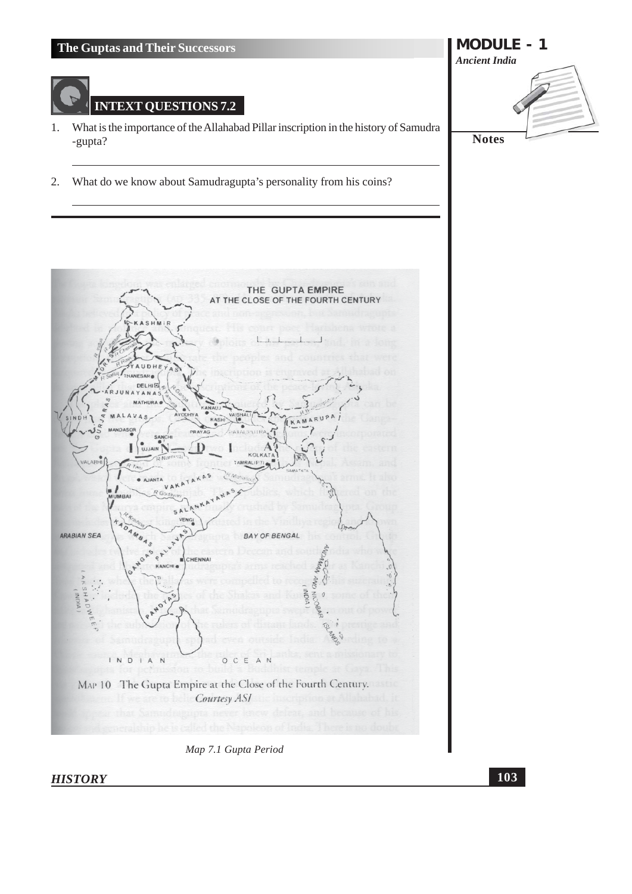

#### Map 7.1 Gupta Period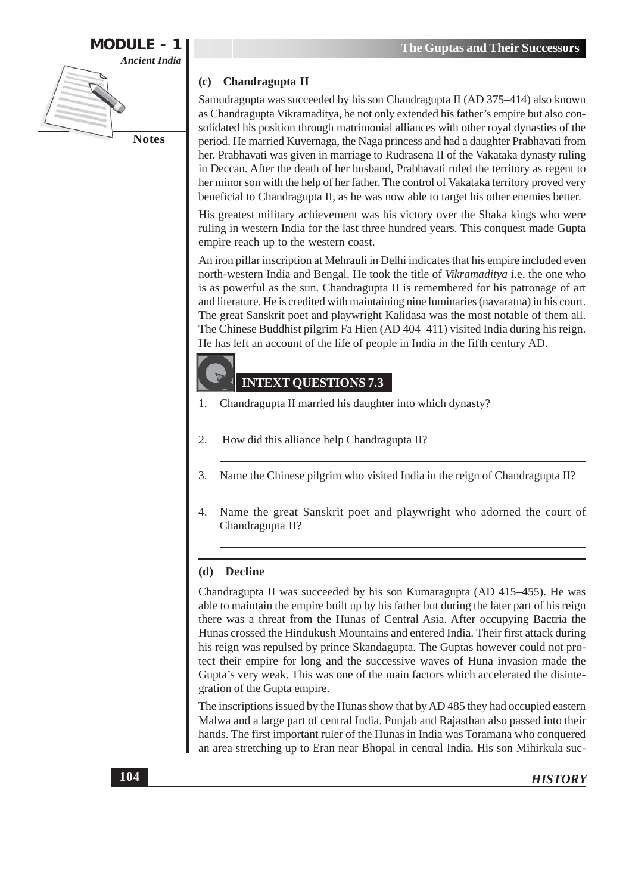

#### Chandragupta II (c)

Samudragupta was succeeded by his son Chandragupta II (AD 375-414) also known as Chandragupta Vikramaditya, he not only extended his father's empire but also consolidated his position through matrimonial alliances with other royal dynasties of the period. He married Kuvernaga, the Naga princess and had a daughter Prabhavati from her. Prabhavati was given in marriage to Rudrasena II of the Vakataka dynasty ruling in Deccan. After the death of her husband, Prabhavati ruled the territory as regent to her minor son with the help of her father. The control of Vakataka territory proved very beneficial to Chandragupta II, as he was now able to target his other enemies better.

His greatest military achievement was his victory over the Shaka kings who were ruling in western India for the last three hundred years. This conquest made Gupta empire reach up to the western coast.

An iron pillar inscription at Mehrauli in Delhi indicates that his empire included even north-western India and Bengal. He took the title of *Vikramaditya* i.e. the one who is as powerful as the sun. Chandragupta II is remembered for his patronage of art and literature. He is credited with maintaining nine luminaries (navaratna) in his court. The great Sanskrit poet and playwright Kalidasa was the most notable of them all. The Chinese Buddhist pilgrim Fa Hien (AD 404-411) visited India during his reign. He has left an account of the life of people in India in the fifth century AD.

#### **INTEXT QUESTIONS 7.3**

- Chandragupta II married his daughter into which dynasty? 1.
- 2. How did this alliance help Chandragupta II?
- Name the Chinese pilgrim who visited India in the reign of Chandragupta II? 3.
- Name the great Sanskrit poet and playwright who adorned the court of  $\overline{4}$ . Chandragupta II?

#### (d) Decline

Chandragupta II was succeeded by his son Kumaragupta (AD 415–455). He was able to maintain the empire built up by his father but during the later part of his reign there was a threat from the Hunas of Central Asia. After occupying Bactria the Hunas crossed the Hindukush Mountains and entered India. Their first attack during his reign was repulsed by prince Skandagupta. The Guptas however could not protect their empire for long and the successive waves of Huna invasion made the Gupta's very weak. This was one of the main factors which accelerated the disintegration of the Gupta empire.

The inscriptions issued by the Hunas show that by AD 485 they had occupied eastern Malwa and a large part of central India. Punjab and Rajasthan also passed into their hands. The first important ruler of the Hunas in India was Toramana who conquered an area stretching up to Eran near Bhopal in central India. His son Mihirkula suc-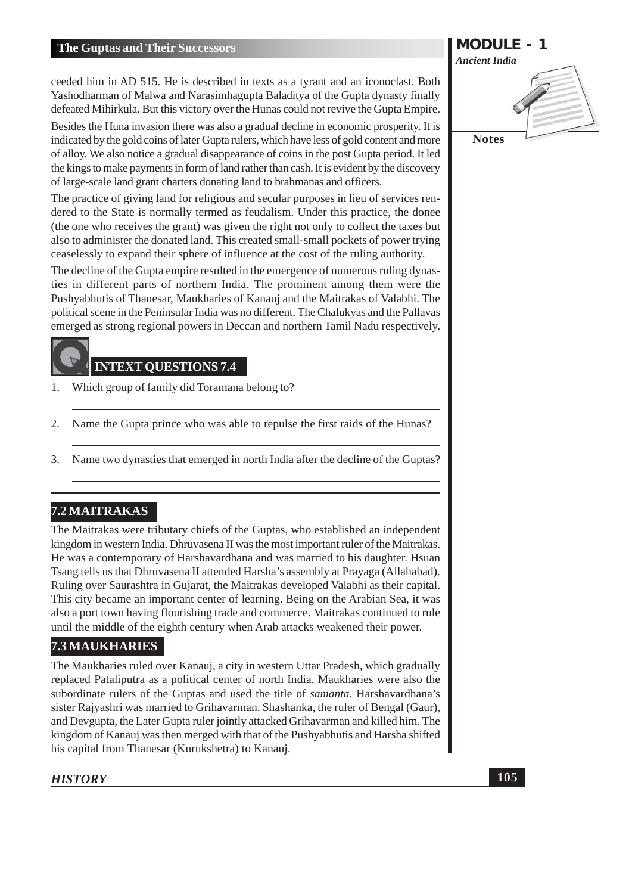ceeded him in AD 515. He is described in texts as a tyrant and an iconoclast. Both Yashodharman of Malwa and Narasimhagupta Baladitya of the Gupta dynasty finally defeated Mihirkula. But this victory over the Hunas could not revive the Gupta Empire.

Besides the Huna invasion there was also a gradual decline in economic prosperity. It is indicated by the gold coins of later Gupta rulers, which have less of gold content and more of alloy. We also notice a gradual disappearance of coins in the post Gupta period. It led the kings to make payments in form of land rather than cash. It is evident by the discovery of large-scale land grant charters donating land to brahmanas and officers.

The practice of giving land for religious and secular purposes in lieu of services rendered to the State is normally termed as feudalism. Under this practice, the donee (the one who receives the grant) was given the right not only to collect the taxes but also to administer the donated land. This created small-small pockets of power trying ceaselessly to expand their sphere of influence at the cost of the ruling authority.

The decline of the Gupta empire resulted in the emergence of numerous ruling dynasties in different parts of northern India. The prominent among them were the Pushyabhutis of Thanesar, Maukharies of Kanauj and the Maitrakas of Valabhi. The political scene in the Peninsular India was no different. The Chalukyas and the Pallayas emerged as strong regional powers in Deccan and northern Tamil Nadu respectively.

#### **INTEXT OUESTIONS 7.4**

- $1.$ Which group of family did Toramana belong to?
- $2.$ Name the Gupta prince who was able to repulse the first raids of the Hunas?
- Name two dynasties that emerged in north India after the decline of the Guptas?  $3.$

#### 7.2 MAITRAKAS

The Maitrakas were tributary chiefs of the Guptas, who established an independent kingdom in western India. Dhruvasena II was the most important ruler of the Maitrakas. He was a contemporary of Harshavardhana and was married to his daughter. Hsuan Tsang tells us that Dhruvasena II attended Harsha's assembly at Prayaga (Allahabad). Ruling over Saurashtra in Gujarat, the Maitrakas developed Valabhi as their capital. This city became an important center of learning. Being on the Arabian Sea, it was also a port town having flourishing trade and commerce. Maitrakas continued to rule until the middle of the eighth century when Arab attacks weakened their power.

#### **7.3 MAUKHARIES**

The Maukharies ruled over Kanauj, a city in western Uttar Pradesh, which gradually replaced Pataliputra as a political center of north India. Maukharies were also the subordinate rulers of the Guptas and used the title of *samanta*. Harshavardhana's sister Rajyashri was married to Grihavarman. Shashanka, the ruler of Bengal (Gaur), and Devgupta, the Later Gupta ruler jointly attacked Grihavarman and killed him. The kingdom of Kanauj was then merged with that of the Pushyabhutis and Harsha shifted his capital from Thanesar (Kurukshetra) to Kanauj.

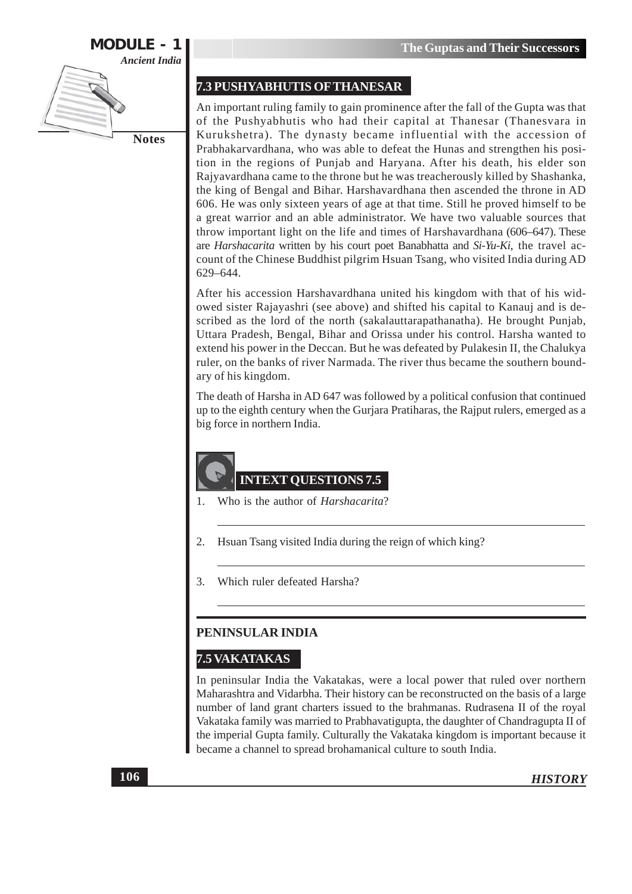

#### 7.3 PUSHYABHUTIS OF THANESAR

An important ruling family to gain prominence after the fall of the Gupta was that of the Pushyabhutis who had their capital at Thanesar (Thanesvara in Kurukshetra). The dynasty became influential with the accession of Prabhakarvardhana, who was able to defeat the Hunas and strengthen his position in the regions of Punjab and Haryana. After his death, his elder son Rajyavardhana came to the throne but he was treacherously killed by Shashanka, the king of Bengal and Bihar. Harshavardhana then ascended the throne in AD 606. He was only sixteen years of age at that time. Still he proved himself to be a great warrior and an able administrator. We have two valuable sources that throw important light on the life and times of Harshavardhana (606–647). These are Harshacarita written by his court poet Banabhatta and Si-Yu-Ki, the travel account of the Chinese Buddhist pilgrim Hsuan Tsang, who visited India during AD 629-644.

After his accession Harshavardhana united his kingdom with that of his widowed sister Rajayashri (see above) and shifted his capital to Kanauj and is described as the lord of the north (sakalauttarapathanatha). He brought Punjab, Uttara Pradesh, Bengal, Bihar and Orissa under his control. Harsha wanted to extend his power in the Deccan. But he was defeated by Pulakesin II, the Chalukya ruler, on the banks of river Narmada. The river thus became the southern boundary of his kingdom.

The death of Harsha in AD 647 was followed by a political confusion that continued up to the eighth century when the Gurjara Pratiharas, the Rajput rulers, emerged as a big force in northern India.

 $1<sub>1</sub>$ Who is the author of *Harshacarita*?

**INTEXT QUESTIONS 7.5** 

- $\overline{2}$ . Hsuan Tsang visited India during the reign of which king?
- Which ruler defeated Harsha? 3.

#### PENINSULAR INDIA

#### **7.5 VAKATAKAS**

In peninsular India the Vakatakas, were a local power that ruled over northern Maharashtra and Vidarbha. Their history can be reconstructed on the basis of a large number of land grant charters issued to the brahmanas. Rudrasena II of the royal Vakataka family was married to Prabhavatigupta, the daughter of Chandragupta II of the imperial Gupta family. Culturally the Vakataka kingdom is important because it became a channel to spread brohamanical culture to south India.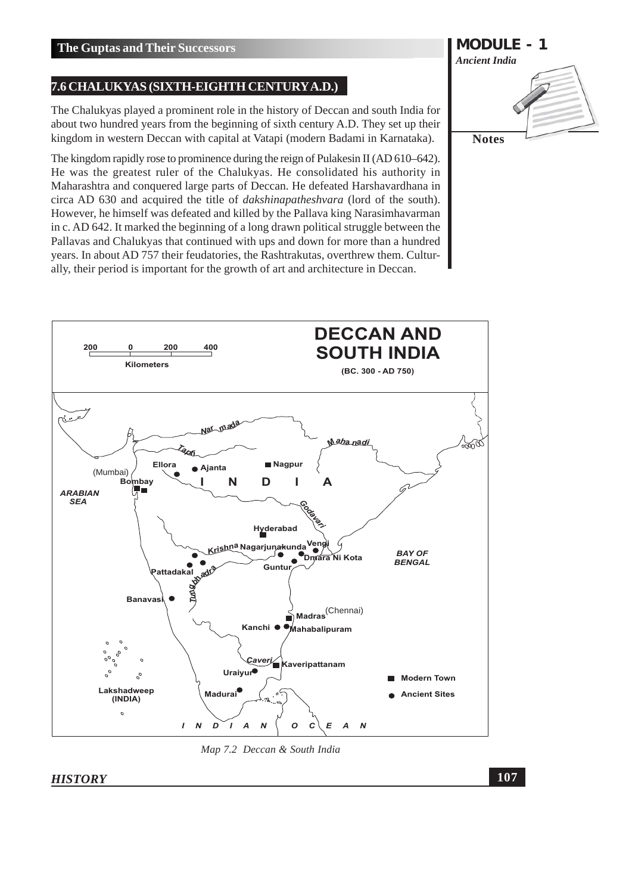#### 7.6 CHALUKYAS (SIXTH-EIGHTH CENTURY A.D.)

The Chalukyas played a prominent role in the history of Deccan and south India for about two hundred years from the beginning of sixth century A.D. They set up their kingdom in western Deccan with capital at Vatapi (modern Badami in Karnataka).

The kingdom rapidly rose to prominence during the reign of Pulakesin II (AD 610–642). He was the greatest ruler of the Chalukyas. He consolidated his authority in Maharashtra and conquered large parts of Deccan. He defeated Harshavardhana in circa AD 630 and acquired the title of *dakshinapatheshyara* (lord of the south). However, he himself was defeated and killed by the Pallava king Narasimhavarman in c. AD 642. It marked the beginning of a long drawn political struggle between the Pallavas and Chalukyas that continued with ups and down for more than a hundred years. In about AD 757 their feudatories, the Rashtrakutas, overthrew them. Culturally, their period is important for the growth of art and architecture in Deccan.



Map 7.2 Deccan & South India

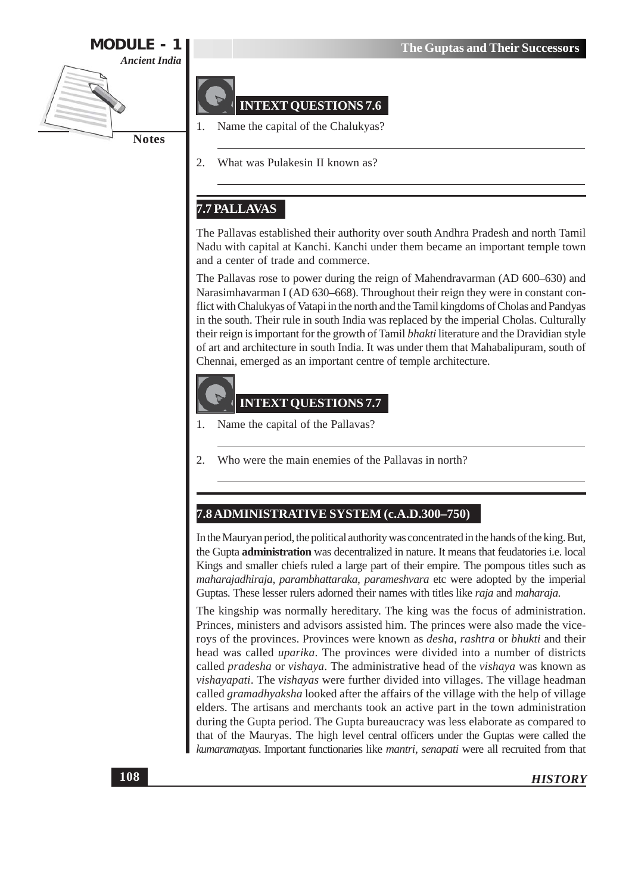



#### **INTEXT QUESTIONS 7.6**

Name the capital of the Chalukyas?

2. What was Pulakesin II known as?

#### 7.7 PALLAVAS

The Pallavas established their authority over south Andhra Pradesh and north Tamil Nadu with capital at Kanchi. Kanchi under them became an important temple town and a center of trade and commerce.

The Pallavas rose to power during the reign of Mahendravarman (AD 600–630) and Narasimhavarman I (AD 630-668). Throughout their reign they were in constant conflict with Chalukyas of Vatapi in the north and the Tamil kingdoms of Cholas and Pandyas in the south. Their rule in south India was replaced by the imperial Cholas. Culturally their reign is important for the growth of Tamil bhakti literature and the Dravidian style of art and architecture in south India. It was under them that Mahabalipuram, south of Chennai, emerged as an important centre of temple architecture.



#### **INTEXT QUESTIONS 7.7**

- Name the capital of the Pallavas? 1.
- Who were the main enemies of the Pallayas in north?  $\overline{2}$ .

#### 7.8 ADMINISTRATIVE SYSTEM (c.A.D.300-750)

In the Mauryan period, the political authority was concentrated in the hands of the king. But, the Gupta administration was decentralized in nature. It means that feudatories i.e. local Kings and smaller chiefs ruled a large part of their empire. The pompous titles such as maharajadhiraja, parambhattaraka, parameshvara etc were adopted by the imperial Guptas. These lesser rulers adorned their names with titles like raja and maharaja.

The kingship was normally hereditary. The king was the focus of administration. Princes, ministers and advisors assisted him. The princes were also made the viceroys of the provinces. Provinces were known as *desha*, rashtra or bhukti and their head was called *uparika*. The provinces were divided into a number of districts called *pradesha* or *vishaya*. The administrative head of the *vishaya* was known as *vishayapati*. The *vishayas* were further divided into villages. The village headman called *gramadhyaksha* looked after the affairs of the village with the help of village elders. The artisans and merchants took an active part in the town administration during the Gupta period. The Gupta bureaucracy was less elaborate as compared to that of the Mauryas. The high level central officers under the Guptas were called the kumaramatyas. Important functionaries like mantri, senapati were all recruited from that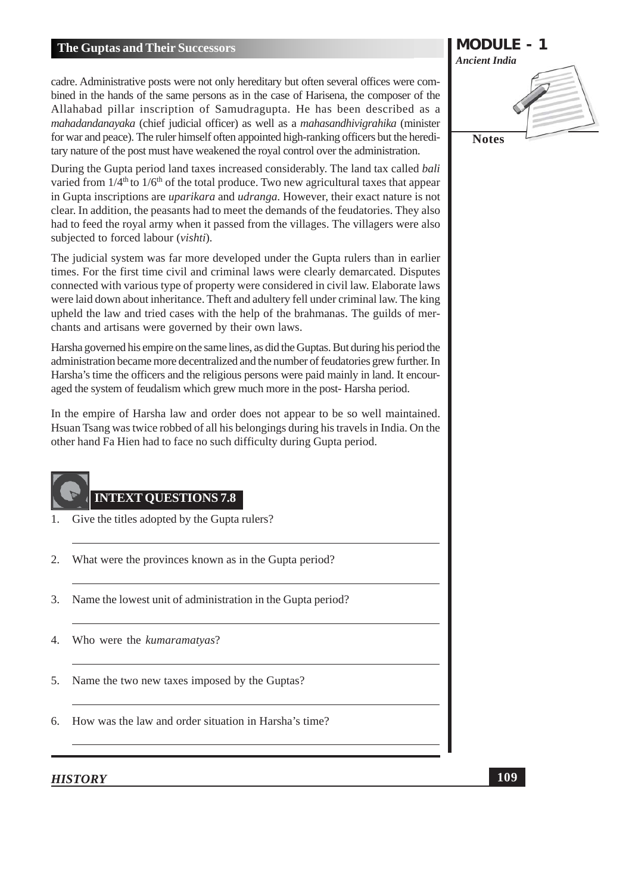cadre. Administrative posts were not only hereditary but often several offices were combined in the hands of the same persons as in the case of Harisena, the composer of the Allahabad pillar inscription of Samudragupta. He has been described as a mahadandanayaka (chief judicial officer) as well as a mahasandhivigrahika (minister for war and peace). The ruler himself often appointed high-ranking officers but the hereditary nature of the post must have weakened the royal control over the administration.

During the Gupta period land taxes increased considerably. The land tax called *bali* varied from  $1/4^{\text{th}}$  to  $1/6^{\text{th}}$  of the total produce. Two new agricultural taxes that appear in Gupta inscriptions are *uparikara* and *udranga*. However, their exact nature is not clear. In addition, the peasants had to meet the demands of the feudatories. They also had to feed the royal army when it passed from the villages. The villagers were also subjected to forced labour (vishti).

The judicial system was far more developed under the Gupta rulers than in earlier times. For the first time civil and criminal laws were clearly demarcated. Disputes connected with various type of property were considered in civil law. Elaborate laws were laid down about inheritance. Theft and adultery fell under criminal law. The king upheld the law and tried cases with the help of the brahmanas. The guilds of merchants and artisans were governed by their own laws.

Harsha governed his empire on the same lines, as did the Guptas. But during his period the administration became more decentralized and the number of feudatories grew further. In Harsha's time the officers and the religious persons were paid mainly in land. It encouraged the system of feudalism which grew much more in the post-Harsha period.

In the empire of Harsha law and order does not appear to be so well maintained. Hsuan Tsang was twice robbed of all his belongings during his travels in India. On the other hand Fa Hien had to face no such difficulty during Gupta period.



#### **INTEXT QUESTIONS 7.8**

- Give the titles adopted by the Gupta rulers? 1.
- What were the provinces known as in the Gupta period? 2.
- $\mathcal{E}$ Name the lowest unit of administration in the Gupta period?
- Who were the kumaramatyas?  $\overline{4}$
- Name the two new taxes imposed by the Guptas? 5.
- 6. How was the law and order situation in Harsha's time?

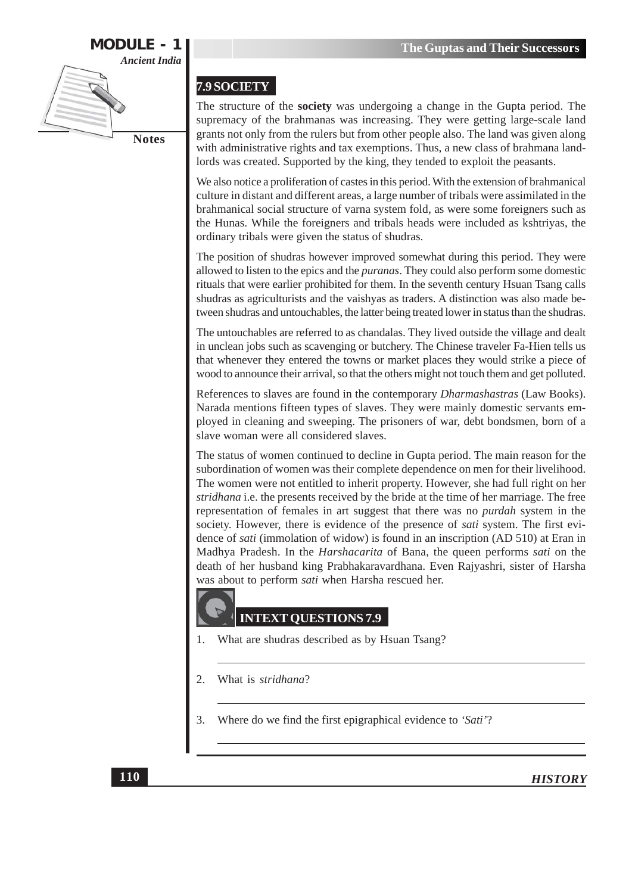

#### 7.9 SOCIETY

The structure of the **society** was undergoing a change in the Gupta period. The supremacy of the brahmanas was increasing. They were getting large-scale land grants not only from the rulers but from other people also. The land was given along with administrative rights and tax exemptions. Thus, a new class of brahmana landlords was created. Supported by the king, they tended to exploit the peasants.

We also notice a proliferation of castes in this period. With the extension of brahmanical culture in distant and different areas, a large number of tribals were assimilated in the brahmanical social structure of varna system fold, as were some foreigners such as the Hunas. While the foreigners and tribals heads were included as kshtriyas, the ordinary tribals were given the status of shudras.

The position of shudras however improved somewhat during this period. They were allowed to listen to the epics and the *puranas*. They could also perform some domestic rituals that were earlier prohibited for them. In the seventh century Hsuan Tsang calls shudras as agriculturists and the vaishyas as traders. A distinction was also made between shudras and untouchables, the latter being treated lower in status than the shudras.

The untouchables are referred to as chandalas. They lived outside the village and dealt in unclean jobs such as scavenging or butchery. The Chinese traveler Fa-Hien tells us that whenever they entered the towns or market places they would strike a piece of wood to announce their arrival, so that the others might not touch them and get polluted.

References to slaves are found in the contemporary *Dharmashastras* (Law Books). Narada mentions fifteen types of slaves. They were mainly domestic servants employed in cleaning and sweeping. The prisoners of war, debt bondsmen, born of a slave woman were all considered slaves.

The status of women continued to decline in Gupta period. The main reason for the subordination of women was their complete dependence on men for their livelihood. The women were not entitled to inherit property. However, she had full right on her stridhana i.e. the presents received by the bride at the time of her marriage. The free representation of females in art suggest that there was no *purdah* system in the society. However, there is evidence of the presence of sati system. The first evidence of *sati* (immolation of widow) is found in an inscription (AD 510) at Eran in Madhya Pradesh. In the *Harshacarita* of Bana, the queen performs *sati* on the death of her husband king Prabhakaravardhana. Even Rajyashri, sister of Harsha was about to perform sati when Harsha rescued her.

#### **INTEXT QUESTIONS 7.9**

- 1. What are shudras described as by Hsuan Tsang?
- 2. What is stridhana?
- 3. Where do we find the first epigraphical evidence to 'Sati'?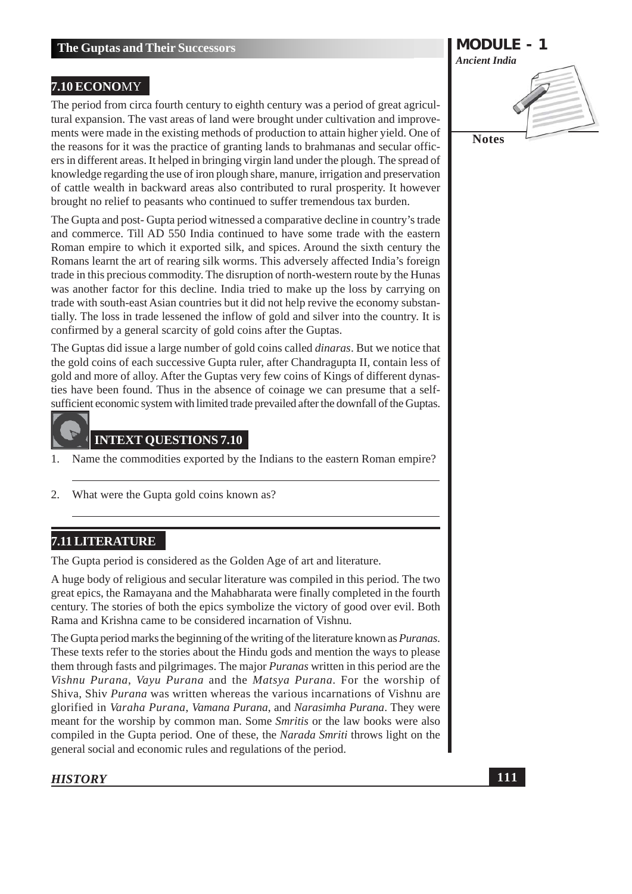#### 7.10 ECONOMY

The period from circa fourth century to eighth century was a period of great agricultural expansion. The vast areas of land were brought under cultivation and improvements were made in the existing methods of production to attain higher yield. One of the reasons for it was the practice of granting lands to brahmanas and secular officers in different areas. It helped in bringing virgin land under the plough. The spread of knowledge regarding the use of iron plough share, manure, irrigation and preservation of cattle wealth in backward areas also contributed to rural prosperity. It however brought no relief to peasants who continued to suffer tremendous tax burden.

The Gupta and post-Gupta period witnessed a comparative decline in country's trade and commerce. Till AD 550 India continued to have some trade with the eastern Roman empire to which it exported silk, and spices. Around the sixth century the Romans learnt the art of rearing silk worms. This adversely affected India's foreign trade in this precious commodity. The disruption of north-western route by the Hunas was another factor for this decline. India tried to make up the loss by carrying on trade with south-east Asian countries but it did not help revive the economy substantially. The loss in trade lessened the inflow of gold and silver into the country. It is confirmed by a general scarcity of gold coins after the Guptas.

The Guptas did issue a large number of gold coins called *dinaras*. But we notice that the gold coins of each successive Gupta ruler, after Chandragupta II, contain less of gold and more of alloy. After the Guptas very few coins of Kings of different dynasties have been found. Thus in the absence of coinage we can presume that a selfsufficient economic system with limited trade prevailed after the downfall of the Guptas.

#### **INTEXT OUESTIONS 7.10**

- Name the commodities exported by the Indians to the eastern Roman empire? 1.
- $2.$ What were the Gupta gold coins known as?

#### **7.11 LITERATURE**

The Gupta period is considered as the Golden Age of art and literature.

A huge body of religious and secular literature was compiled in this period. The two great epics, the Ramayana and the Mahabharata were finally completed in the fourth century. The stories of both the epics symbolize the victory of good over evil. Both Rama and Krishna came to be considered incarnation of Vishnu.

The Gupta period marks the beginning of the writing of the literature known as *Puranas*. These texts refer to the stories about the Hindu gods and mention the ways to please them through fasts and pilgrimages. The major *Puranas* written in this period are the Vishnu Purana, Vayu Purana and the Matsya Purana. For the worship of Shiva. Shiv *Purana* was written whereas the various incarnations of Vishnu are glorified in Varaha Purana, Vamana Purana, and Narasimha Purana. They were meant for the worship by common man. Some Smritis or the law books were also compiled in the Gupta period. One of these, the *Narada Smriti* throws light on the general social and economic rules and regulations of the period.

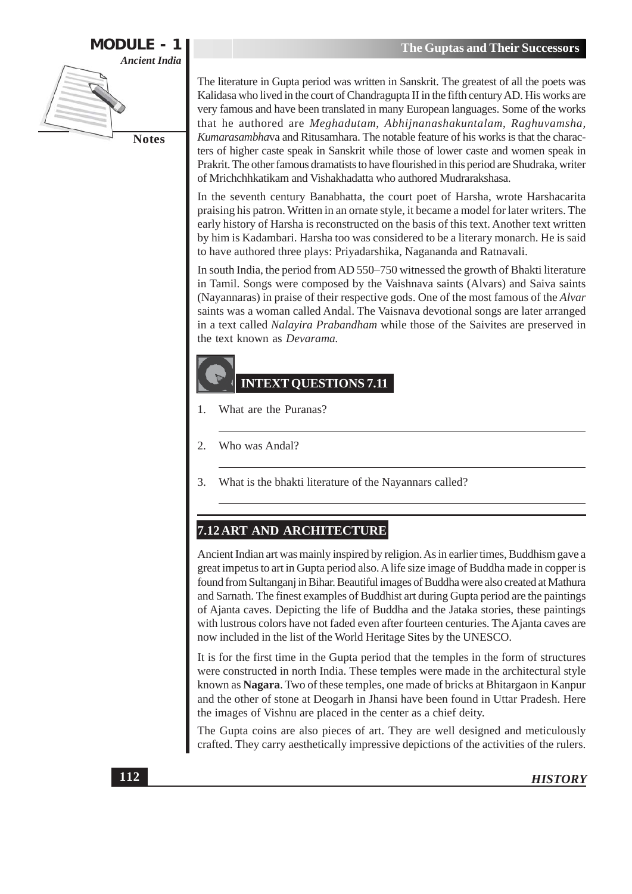

The literature in Gupta period was written in Sanskrit. The greatest of all the poets was Kalidasa who lived in the court of Chandragupta II in the fifth century AD. His works are very famous and have been translated in many European languages. Some of the works that he authored are Meghadutam, Abhijnanashakuntalam, Raghuvamsha, Kumarasambhava and Ritusamhara. The notable feature of his works is that the characters of higher caste speak in Sanskrit while those of lower caste and women speak in Prakrit. The other famous dramatists to have flourished in this period are Shudraka, writer of Mrichchhkatikam and Vishakhadatta who authored Mudrarakshasa.

In the seventh century Banabhatta, the court poet of Harsha, wrote Harshacarita praising his patron. Written in an ornate style, it became a model for later writers. The early history of Harsha is reconstructed on the basis of this text. Another text written by him is Kadambari. Harsha too was considered to be a literary monarch. He is said to have authored three plays: Priyadarshika, Nagananda and Ratnavali.

In south India, the period from AD 550–750 witnessed the growth of Bhakti literature in Tamil. Songs were composed by the Vaishnava saints (Alvars) and Saiva saints (Nayannaras) in praise of their respective gods. One of the most famous of the Alvar saints was a woman called Andal. The Vaisnava devotional songs are later arranged in a text called Nalayira Prabandham while those of the Saivites are preserved in the text known as Devarama.

#### **INTEXT OUESTIONS 7.11**

- $\mathbf{1}$ . What are the Puranas?
- 2. Who was Andal?
- What is the bhakti literature of the Nayannars called? 3.

#### 7.12 ART AND ARCHITECTURE

Ancient Indian art was mainly inspired by religion. As in earlier times, Buddhism gave a great impetus to art in Gupta period also. A life size image of Buddha made in copper is found from Sultanganj in Bihar. Beautiful images of Buddha were also created at Mathura and Sarnath. The finest examples of Buddhist art during Gupta period are the paintings of Ajanta caves. Depicting the life of Buddha and the Jataka stories, these paintings with lustrous colors have not faded even after fourteen centuries. The Ajanta caves are now included in the list of the World Heritage Sites by the UNESCO.

It is for the first time in the Gupta period that the temples in the form of structures were constructed in north India. These temples were made in the architectural style known as **Nagara**. Two of these temples, one made of bricks at Bhitargaon in Kanpur and the other of stone at Deogarh in Jhansi have been found in Uttar Pradesh. Here the images of Vishnu are placed in the center as a chief deity.

The Gupta coins are also pieces of art. They are well designed and meticulously crafted. They carry aesthetically impressive depictions of the activities of the rulers.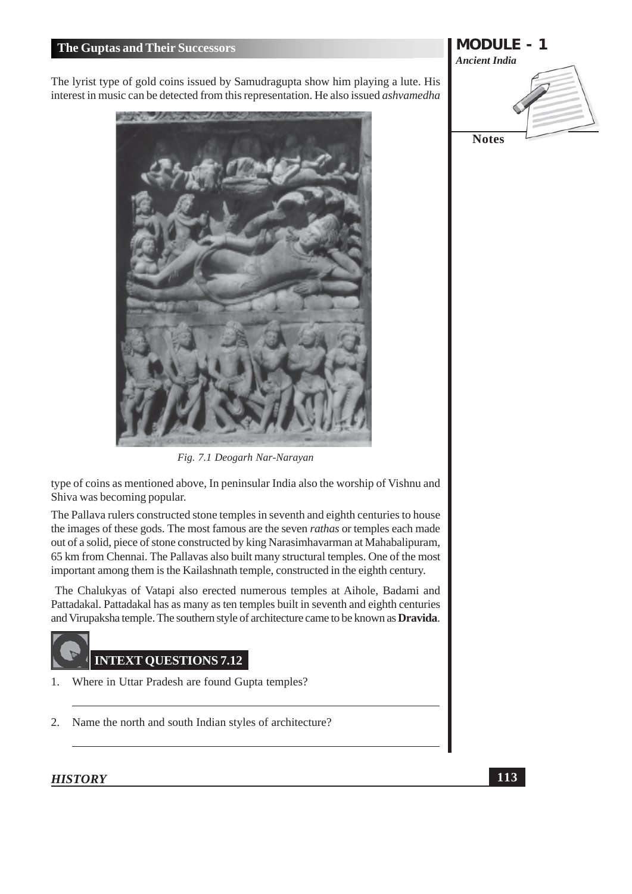The lyrist type of gold coins issued by Samudragupta show him playing a lute. His interest in music can be detected from this representation. He also issued ashvamedha



Fig. 7.1 Deogarh Nar-Narayan

type of coins as mentioned above, In peninsular India also the worship of Vishnu and Shiva was becoming popular.

The Pallava rulers constructed stone temples in seventh and eighth centuries to house the images of these gods. The most famous are the seven *rathas* or temples each made out of a solid, piece of stone constructed by king Narasimhavarman at Mahabalipuram, 65 km from Chennai. The Pallavas also built many structural temples. One of the most important among them is the Kailashnath temple, constructed in the eighth century.

The Chalukyas of Vatapi also erected numerous temples at Aihole, Badami and Pattadakal. Pattadakal has as many as ten temples built in seventh and eighth centuries and Virupaksha temple. The southern style of architecture came to be known as **Dravida**.

#### **INTEXT OUESTIONS 7.12**

- Where in Uttar Pradesh are found Gupta temples? 1.
- $2.$ Name the north and south Indian styles of architecture?

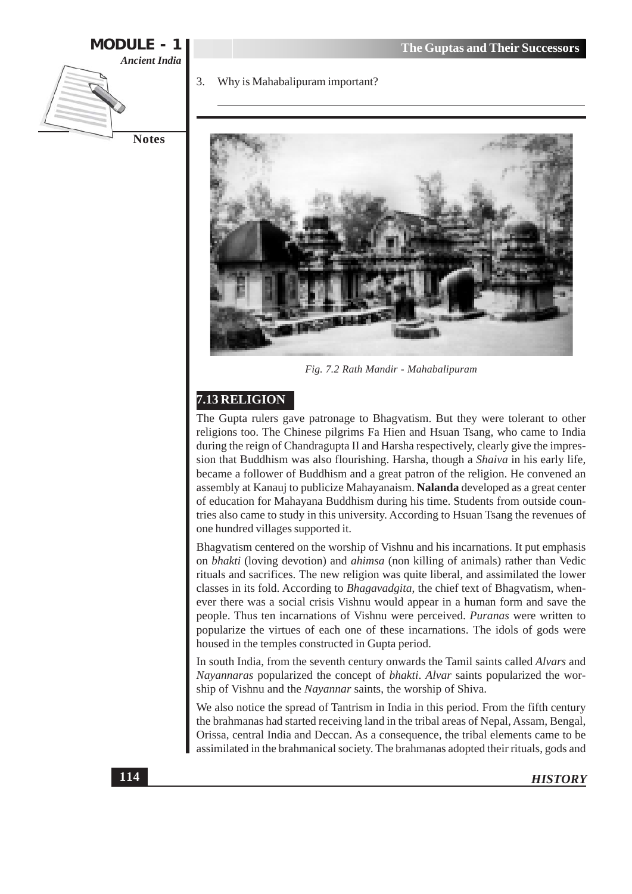

#### Why is Mahabalipuram important?



Fig. 7.2 Rath Mandir - Mahabalipuram

#### 7.13 RELIGION

The Gupta rulers gave patronage to Bhagvatism. But they were tolerant to other religions too. The Chinese pilgrims Fa Hien and Hsuan Tsang, who came to India during the reign of Chandragupta II and Harsha respectively, clearly give the impression that Buddhism was also flourishing. Harsha, though a *Shaiva* in his early life, became a follower of Buddhism and a great patron of the religion. He convened an assembly at Kanauj to publicize Mahayanaism. Nalanda developed as a great center of education for Mahayana Buddhism during his time. Students from outside countries also came to study in this university. According to Hsuan Tsang the revenues of one hundred villages supported it.

Bhagyatism centered on the worship of Vishnu and his incarnations. It put emphasis on *bhakti* (loving devotion) and *ahimsa* (non killing of animals) rather than Vedic rituals and sacrifices. The new religion was quite liberal, and assimilated the lower classes in its fold. According to Bhagavadgita, the chief text of Bhagvatism, whenever there was a social crisis Vishnu would appear in a human form and save the people. Thus ten incarnations of Vishnu were perceived. Puranas were written to popularize the virtues of each one of these incarnations. The idols of gods were housed in the temples constructed in Gupta period.

In south India, from the seventh century onwards the Tamil saints called Alvars and Nayannaras popularized the concept of bhakti. Alvar saints popularized the worship of Vishnu and the *Nayannar* saints, the worship of Shiva.

We also notice the spread of Tantrism in India in this period. From the fifth century the brahmanas had started receiving land in the tribal areas of Nepal, Assam, Bengal, Orissa, central India and Deccan. As a consequence, the tribal elements came to be assimilated in the brahmanical society. The brahmanas adopted their rituals, gods and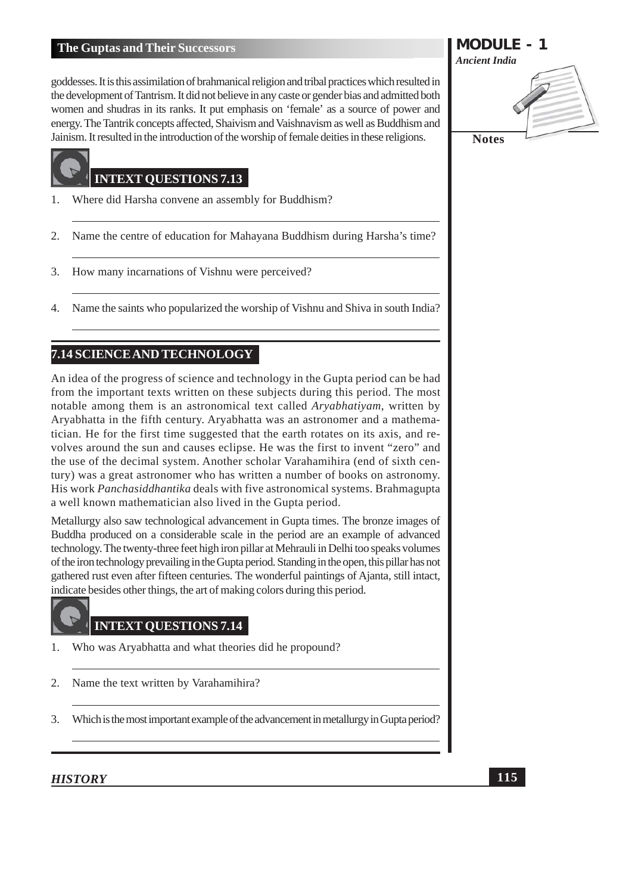goddesses. It is this assimilation of brahmanical religion and tribal practices which resulted in the development of Tantrism. It did not believe in any caste or gender bias and admitted both women and shudras in its ranks. It put emphasis on 'female' as a source of power and energy. The Tantrik concepts affected, Shaivism and Vaishnavism as well as Buddhism and Jainism. It resulted in the introduction of the worship of female deities in these religions.

#### **INTEXT QUESTIONS 7.13**

- Where did Harsha convene an assembly for Buddhism? 1.
- Name the centre of education for Mahayana Buddhism during Harsha's time? 2.
- How many incarnations of Vishnu were perceived? 3.
- Name the saints who popularized the worship of Vishnu and Shiva in south India? 4.

#### 7.14 SCIENCE AND TECHNOLOGY

An idea of the progress of science and technology in the Gupta period can be had from the important texts written on these subjects during this period. The most notable among them is an astronomical text called Aryabhatiyam, written by Aryabhatta in the fifth century. Aryabhatta was an astronomer and a mathematician. He for the first time suggested that the earth rotates on its axis, and revolves around the sun and causes eclipse. He was the first to invent "zero" and the use of the decimal system. Another scholar Varahamihira (end of sixth century) was a great astronomer who has written a number of books on astronomy. His work Panchasiddhantika deals with five astronomical systems. Brahmagupta a well known mathematician also lived in the Gupta period.

Metallurgy also saw technological advancement in Gupta times. The bronze images of Buddha produced on a considerable scale in the period are an example of advanced technology. The twenty-three feet high iron pillar at Mehrauli in Delhi too speaks volumes of the iron technology prevailing in the Gupta period. Standing in the open, this pillar has not gathered rust even after fifteen centuries. The wonderful paintings of Ajanta, still intact, indicate besides other things, the art of making colors during this period.

#### **INTEXT QUESTIONS 7.14**

- Who was Aryabhatta and what theories did he propound? 1.
- $2.$ Name the text written by Varahamihira?
- $\overline{3}$ . Which is the most important example of the advancement in metallurgy in Gupta period?

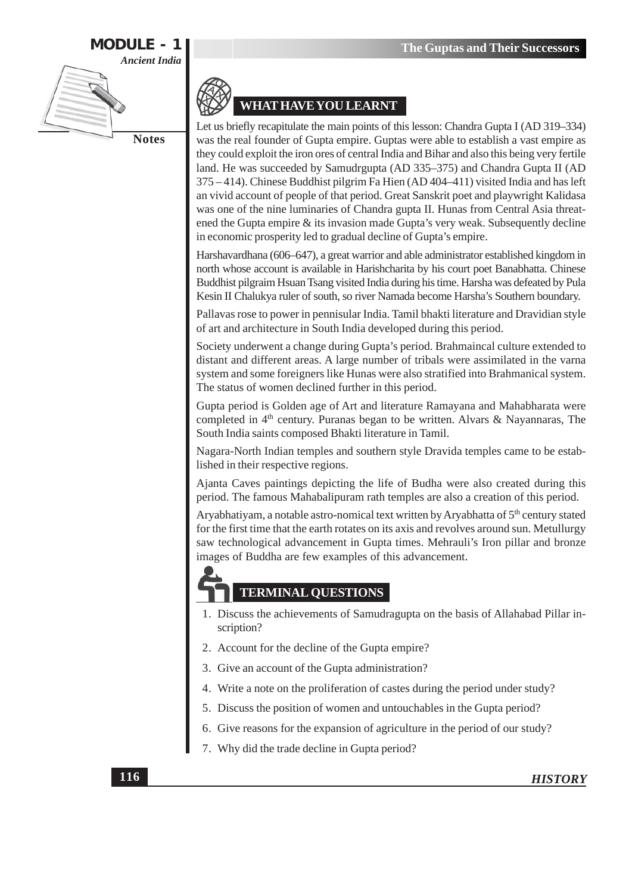



#### **WHAT HAVE YOU LEARNT**

Let us briefly recapitulate the main points of this lesson: Chandra Gupta I (AD 319–334) was the real founder of Gupta empire. Guptas were able to establish a vast empire as they could exploit the iron ores of central India and Bihar and also this being very fertile land. He was succeeded by Samudrgupta (AD 335-375) and Chandra Gupta II (AD  $375 - 414$ ). Chinese Buddhist pilgrim Fa Hien (AD 404-411) visited India and has left an vivid account of people of that period. Great Sanskrit poet and playwright Kalidasa was one of the nine luminaries of Chandra gupta II. Hunas from Central Asia threatened the Gupta empire & its invasion made Gupta's very weak. Subsequently decline in economic prosperity led to gradual decline of Gupta's empire.

Harshavardhana (606–647), a great warrior and able administrator established kingdom in north whose account is available in Harishcharita by his court poet Banabhatta. Chinese Buddhist pilgraim Hsuan Tsang visited India during his time. Harsha was defeated by Pula Kesin II Chalukya ruler of south, so river Namada become Harsha's Southern boundary.

Pallavas rose to power in pennisular India. Tamil bhakti literature and Dravidian style of art and architecture in South India developed during this period.

Society underwent a change during Gupta's period. Brahmaincal culture extended to distant and different areas. A large number of tribals were assimilated in the varna system and some foreigners like Hunas were also stratified into Brahmanical system. The status of women declined further in this period.

Gupta period is Golden age of Art and literature Ramayana and Mahabharata were completed in 4<sup>th</sup> century. Puranas began to be written. Alvars & Nayannaras, The South India saints composed Bhakti literature in Tamil.

Nagara-North Indian temples and southern style Dravida temples came to be established in their respective regions.

Ajanta Caves paintings depicting the life of Budha were also created during this period. The famous Mahabalipuram rath temples are also a creation of this period.

Aryabhatiyam, a notable astro-nomical text written by Aryabhatta of 5<sup>th</sup> century stated for the first time that the earth rotates on its axis and revolves around sun. Metullurgy saw technological advancement in Gupta times. Mehrauli's Iron pillar and bronze images of Buddha are few examples of this advancement.

### **TERMINAL QUESTIONS**

- 1. Discuss the achievements of Samudragupta on the basis of Allahabad Pillar inscription?
- 2. Account for the decline of the Gupta empire?
- 3. Give an account of the Gupta administration?
- 4. Write a note on the proliferation of castes during the period under study?
- 5. Discuss the position of women and untouchables in the Gupta period?
- 6. Give reasons for the expansion of agriculture in the period of our study?
- 7. Why did the trade decline in Gupta period?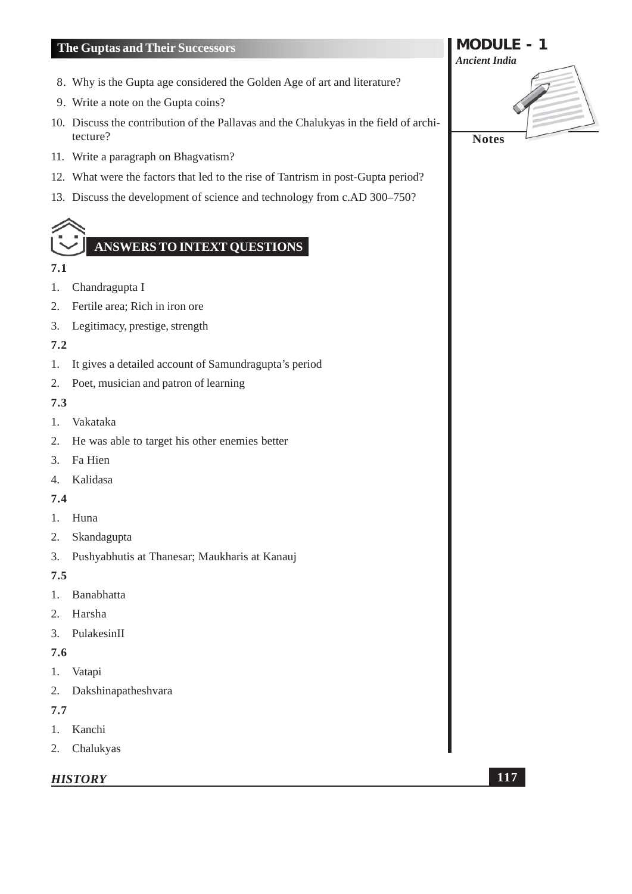- 8. Why is the Gupta age considered the Golden Age of art and literature?
- 9. Write a note on the Gupta coins?
- 10. Discuss the contribution of the Pallavas and the Chalukyas in the field of architecture?
- 11. Write a paragraph on Bhagvatism?
- 12. What were the factors that led to the rise of Tantrism in post-Gupta period?
- 13. Discuss the development of science and technology from c.AD 300–750?

## **ANSWERS TO INTEXT QUESTIONS**

#### 7.1

- 1. Chandragupta I
- $2.$ Fertile area; Rich in iron ore
- 3. Legitimacy, prestige, strength

#### $7.2$

- It gives a detailed account of Samundragupta's period 1.
- 2. Poet, musician and patron of learning

#### $7.3$

- 1. Vakataka
- $2.$ He was able to target his other enemies better
- Fa Hien  $\mathfrak{Z}$ .
- $4.$ Kalidasa

#### $7.4$

- 1. Huna
- 2. Skandagupta
- 3. Pushyabhutis at Thanesar; Maukharis at Kanauj

#### $7.5$

- Banabhatta  $1.$
- $2.$ Harsha
- $3.$ PulakesinII

#### 7.6

- 1. Vatapi
- 2. Dakshinapatheshvara

#### $7.7$

- 1. Kanchi
- 2. Chalukyas

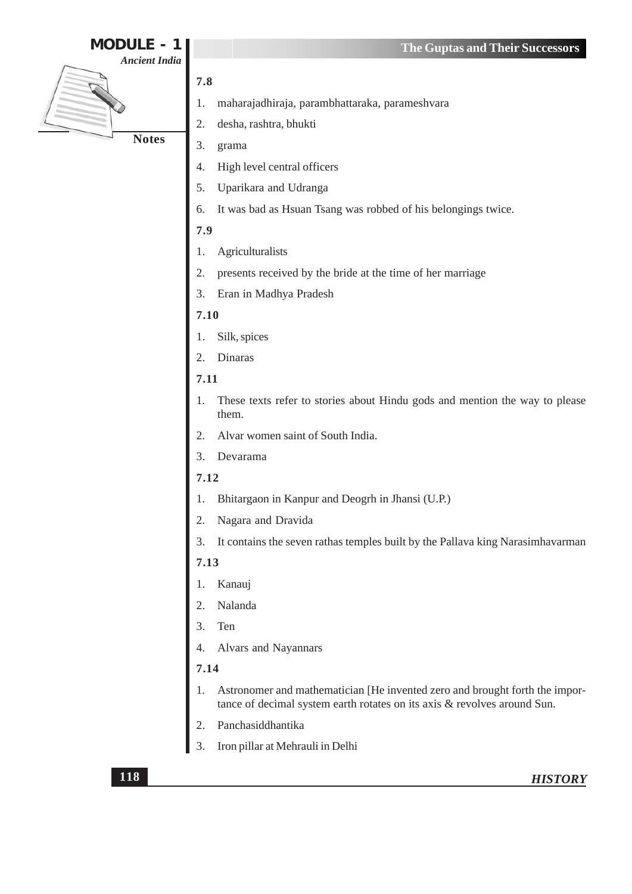| <b>MODULE</b>        | The Guptas and Their Successors                                                                                                                         |
|----------------------|---------------------------------------------------------------------------------------------------------------------------------------------------------|
| <b>Ancient India</b> |                                                                                                                                                         |
|                      | 7.8                                                                                                                                                     |
|                      | maharajadhiraja, parambhattaraka, parameshvara<br>1.                                                                                                    |
|                      | desha, rashtra, bhukti<br>2.                                                                                                                            |
| <b>Notes</b>         | 3.<br>grama                                                                                                                                             |
|                      | High level central officers<br>4.                                                                                                                       |
|                      | Uparikara and Udranga<br>5.                                                                                                                             |
|                      | It was bad as Hsuan Tsang was robbed of his belongings twice.<br>6.                                                                                     |
|                      | 7.9                                                                                                                                                     |
|                      | Agriculturalists<br>1.                                                                                                                                  |
|                      | 2.<br>presents received by the bride at the time of her marriage                                                                                        |
|                      | Eran in Madhya Pradesh<br>3.                                                                                                                            |
|                      | 7.10                                                                                                                                                    |
|                      | Silk, spices                                                                                                                                            |
|                      | Dinaras<br>2.                                                                                                                                           |
|                      | 7.11                                                                                                                                                    |
|                      | These texts refer to stories about Hindu gods and mention the way to please<br>1.<br>them.                                                              |
|                      | Alvar women saint of South India.<br>2.                                                                                                                 |
|                      | Devarama<br>3.                                                                                                                                          |
|                      | 7.12                                                                                                                                                    |
|                      | Bhitargaon in Kanpur and Deogrh in Jhansi (U.P.)                                                                                                        |
|                      | Nagara and Dravida                                                                                                                                      |
|                      | It contains the seven rathas temples built by the Pallava king Narasimhavarman<br>3.                                                                    |
|                      | 7.13                                                                                                                                                    |
|                      | Kanauj                                                                                                                                                  |
|                      | Nalanda<br>2.                                                                                                                                           |
|                      | Ten<br>$\overline{3}$ .                                                                                                                                 |
|                      | Alvars and Nayannars                                                                                                                                    |
|                      | 7.14                                                                                                                                                    |
|                      | Astronomer and mathematician [He invented zero and brought forth the impor-<br>tance of decimal system earth rotates on its axis & revolves around Sun. |
|                      | Panchasiddhantika                                                                                                                                       |
|                      | Iron pillar at Mehrauli in Delhi<br>3.                                                                                                                  |